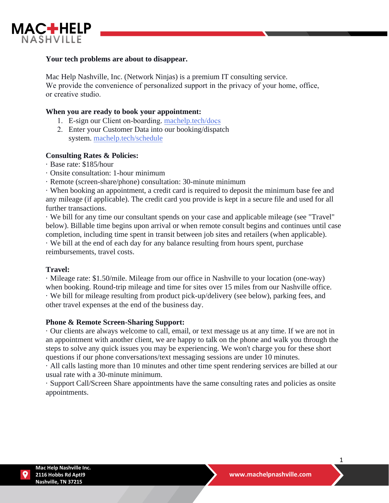

### **Your tech problems are about to disappear.**

Mac Help Nashville, Inc. (Network Ninjas) is a premium IT consulting service. We provide the convenience of personalized support in the privacy of your home, office, or creative studio.

#### **When you are ready to book your appointment:**

- 1. E-sign our Client on-boarding. ma[chelp.tech/](https://machelp.tech/docs)docs
- 2. Enter your Customer Data into our booking/dispatch system. [machelp.tech/schedule](http://machelp.tech/schedule)

### **Consulting Rates & Policies:**

- · Base rate: \$185/hour
- · Onsite consultation: 1-hour minimum
- · Remote (screen-share/phone) consultation: 30-minute minimum

· When booking an appointment, a credit card is required to deposit the minimum base fee and any mileage (if applicable). The credit card you provide is kept in a secure file and used for all further transactions.

· We bill for any time our consultant spends on your case and applicable mileage (see "Travel" below). Billable time begins upon arrival or when remote consult begins and continues until case completion, including time spent in transit between job sites and retailers (when applicable).

· We bill at the end of each day for any balance resulting from hours spent, purchase reimbursements, travel costs.

### **Travel:**

· Mileage rate: \$1.50/mile. Mileage from our office in Nashville to your location (one-way) when booking. Round-trip mileage and time for sites over 15 miles from our Nashville office. · We bill for mileage resulting from product pick-up/delivery (see below), parking fees, and other travel expenses at the end of the business day.

#### **Phone & Remote Screen-Sharing Support:**

· Our clients are always welcome to call, email, or text message us at any time. If we are not in an appointment with another client, we are happy to talk on the phone and walk you through the steps to solve any quick issues you may be experiencing. We won't charge you for these short questions if our phone conversations/text messaging sessions are under 10 minutes.

· All calls lasting more than 10 minutes and other time spent rendering services are billed at our usual rate with a 30-minute minimum.

· Support Call/Screen Share appointments have the same consulting rates and policies as onsite appointments.

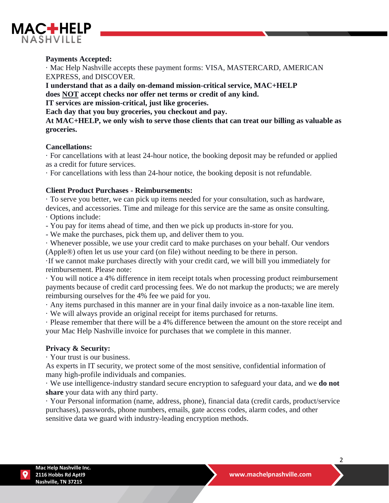

## **Payments Accepted:**

· Mac Help Nashville accepts these payment forms: VISA, MASTERCARD, AMERICAN EXPRESS, and DISCOVER.

**I understand that as a daily on-demand mission-critical service, MAC+HELP does NOT accept checks nor offer net terms or credit of any kind. IT services are mission-critical, just like groceries. Each day that you buy groceries, you checkout and pay.**

**At MAC+HELP, we only wish to serve those clients that can treat our billing as valuable as groceries.**

#### **Cancellations:**

· For cancellations with at least 24-hour notice, the booking deposit may be refunded or applied as a credit for future services.

· For cancellations with less than 24-hour notice, the booking deposit is not refundable.

### **Client Product Purchases - Reimbursements:**

· To serve you better, we can pick up items needed for your consultation, such as hardware,

devices, and accessories. Time and mileage for this service are the same as onsite consulting. · Options include:

- You pay for items ahead of time, and then we pick up products in-store for you.

- We make the purchases, pick them up, and deliver them to you.

· Whenever possible, we use your credit card to make purchases on your behalf. Our vendors (Apple®) often let us use your card (on file) without needing to be there in person.

·If we cannot make purchases directly with your credit card, we will bill you immediately for reimbursement. Please note:

· You will notice a 4% difference in item receipt totals when processing product reimbursement payments because of credit card processing fees. We do not markup the products; we are merely reimbursing ourselves for the 4% fee we paid for you.

· Any items purchased in this manner are in your final daily invoice as a non-taxable line item.

· We will always provide an original receipt for items purchased for returns.

· Please remember that there will be a 4% difference between the amount on the store receipt and your Mac Help Nashville invoice for purchases that we complete in this manner.

#### **Privacy & Security:**

· Your trust is our business.

As experts in IT security, we protect some of the most sensitive, confidential information of many high-profile individuals and companies.

· We use intelligence-industry standard secure encryption to safeguard your data, and we **do not share** your data with any third party.

· Your Personal information (name, address, phone), financial data (credit cards, product/service purchases), passwords, phone numbers, emails, gate access codes, alarm codes, and other sensitive data we guard with industry-leading encryption methods.